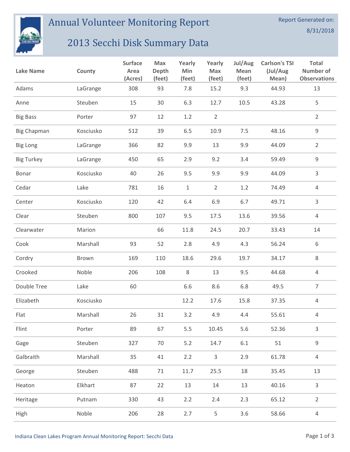

Annual Volunteer Monitoring Report

## 2013 Secchi Disk Summary Data

| <b>Lake Name</b>   | County    | <b>Surface</b><br>Area<br>(Acres) | Max<br>Depth<br>(feet) | Yearly<br>Min<br>(feet) | Yearly<br>Max<br>(feet) | Jul/Aug<br>Mean<br>(feet) | <b>Carlson's TSI</b><br>(Jul/Aug<br>Mean) | <b>Total</b><br>Number of<br><b>Observations</b> |
|--------------------|-----------|-----------------------------------|------------------------|-------------------------|-------------------------|---------------------------|-------------------------------------------|--------------------------------------------------|
| Adams              | LaGrange  | 308                               | 93                     | 7.8                     | 15.2                    | 9.3                       | 44.93                                     | 13                                               |
| Anne               | Steuben   | 15                                | 30                     | 6.3                     | 12.7                    | 10.5                      | 43.28                                     | 5                                                |
| <b>Big Bass</b>    | Porter    | 97                                | 12                     | 1.2                     | $\overline{2}$          |                           |                                           | $\overline{2}$                                   |
| <b>Big Chapman</b> | Kosciusko | 512                               | 39                     | 6.5                     | 10.9                    | 7.5                       | 48.16                                     | $\mathsf 9$                                      |
| <b>Big Long</b>    | LaGrange  | 366                               | 82                     | 9.9                     | 13                      | 9.9                       | 44.09                                     | $\overline{2}$                                   |
| <b>Big Turkey</b>  | LaGrange  | 450                               | 65                     | 2.9                     | 9.2                     | 3.4                       | 59.49                                     | 9                                                |
| Bonar              | Kosciusko | 40                                | 26                     | 9.5                     | 9.9                     | 9.9                       | 44.09                                     | 3                                                |
| Cedar              | Lake      | 781                               | 16                     | $\mathbf{1}$            | $\overline{2}$          | 1.2                       | 74.49                                     | 4                                                |
| Center             | Kosciusko | 120                               | 42                     | 6.4                     | 6.9                     | 6.7                       | 49.71                                     | 3                                                |
| Clear              | Steuben   | 800                               | 107                    | 9.5                     | 17.5                    | 13.6                      | 39.56                                     | 4                                                |
| Clearwater         | Marion    |                                   | 66                     | 11.8                    | 24.5                    | 20.7                      | 33.43                                     | 14                                               |
| Cook               | Marshall  | 93                                | 52                     | 2.8                     | 4.9                     | 4.3                       | 56.24                                     | 6                                                |
| Cordry             | Brown     | 169                               | 110                    | 18.6                    | 29.6                    | 19.7                      | 34.17                                     | 8                                                |
| Crooked            | Noble     | 206                               | 108                    | $\,8\,$                 | 13                      | 9.5                       | 44.68                                     | 4                                                |
| Double Tree        | Lake      | 60                                |                        | 6.6                     | 8.6                     | 6.8                       | 49.5                                      | $\overline{7}$                                   |
| Elizabeth          | Kosciusko |                                   |                        | 12.2                    | 17.6                    | 15.8                      | 37.35                                     | $\overline{4}$                                   |
| Flat               | Marshall  | 26                                | 31                     | 3.2                     | 4.9                     | 4.4                       | 55.61                                     | 4                                                |
| Flint              | Porter    | 89                                | 67                     | 5.5                     | 10.45                   | 5.6                       | 52.36                                     | $\mathsf{3}$                                     |
| Gage               | Steuben   | 327                               | 70                     | $5.2$                   | 14.7                    | $6.1\,$                   | 51                                        | $\mathsf 9$                                      |
| Galbraith          | Marshall  | 35                                | 41                     | 2.2                     | $\mathsf{3}$            | 2.9                       | 61.78                                     | $\overline{4}$                                   |
| George             | Steuben   | 488                               | 71                     | 11.7                    | 25.5                    | 18                        | 35.45                                     | 13                                               |
| Heaton             | Elkhart   | 87                                | 22                     | 13                      | 14                      | 13                        | 40.16                                     | 3                                                |
| Heritage           | Putnam    | 330                               | 43                     | 2.2                     | 2.4                     | 2.3                       | 65.12                                     | $\overline{2}$                                   |
| High               | Noble     | 206                               | 28                     | 2.7                     | 5                       | 3.6                       | 58.66                                     | $\overline{4}$                                   |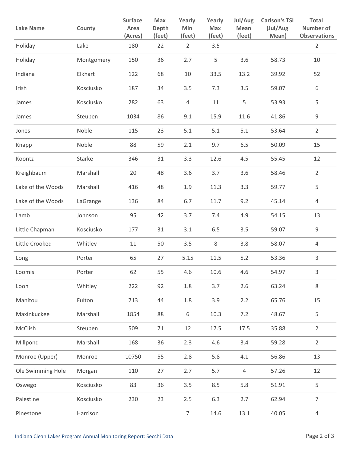| <b>Lake Name</b>  | County     | <b>Surface</b><br>Area<br>(Acres) | Max<br><b>Depth</b><br>(feet) | Yearly<br>Min<br>(feet) | Yearly<br>Max<br>(feet) | Jul/Aug<br><b>Mean</b><br>(feet) | <b>Carlson's TSI</b><br>(Jul/Aug<br>Mean) | <b>Total</b><br>Number of<br><b>Observations</b> |
|-------------------|------------|-----------------------------------|-------------------------------|-------------------------|-------------------------|----------------------------------|-------------------------------------------|--------------------------------------------------|
| Holiday           | Lake       | 180                               | 22                            | $\overline{2}$          | 3.5                     |                                  |                                           | $\overline{2}$                                   |
| Holiday           | Montgomery | 150                               | 36                            | 2.7                     | 5                       | 3.6                              | 58.73                                     | 10                                               |
| Indiana           | Elkhart    | 122                               | 68                            | 10                      | 33.5                    | 13.2                             | 39.92                                     | 52                                               |
| Irish             | Kosciusko  | 187                               | 34                            | 3.5                     | 7.3                     | 3.5                              | 59.07                                     | 6                                                |
| James             | Kosciusko  | 282                               | 63                            | $\overline{4}$          | 11                      | 5                                | 53.93                                     | 5                                                |
| James             | Steuben    | 1034                              | 86                            | 9.1                     | 15.9                    | 11.6                             | 41.86                                     | $\mathsf 9$                                      |
| Jones             | Noble      | 115                               | 23                            | 5.1                     | 5.1                     | 5.1                              | 53.64                                     | $\overline{2}$                                   |
| Knapp             | Noble      | 88                                | 59                            | 2.1                     | 9.7                     | 6.5                              | 50.09                                     | 15                                               |
| Koontz            | Starke     | 346                               | 31                            | 3.3                     | 12.6                    | 4.5                              | 55.45                                     | 12                                               |
| Kreighbaum        | Marshall   | 20                                | 48                            | 3.6                     | 3.7                     | 3.6                              | 58.46                                     | $\overline{2}$                                   |
| Lake of the Woods | Marshall   | 416                               | 48                            | 1.9                     | 11.3                    | 3.3                              | 59.77                                     | 5                                                |
| Lake of the Woods | LaGrange   | 136                               | 84                            | 6.7                     | 11.7                    | 9.2                              | 45.14                                     | 4                                                |
| Lamb              | Johnson    | 95                                | 42                            | 3.7                     | 7.4                     | 4.9                              | 54.15                                     | 13                                               |
| Little Chapman    | Kosciusko  | 177                               | 31                            | 3.1                     | 6.5                     | 3.5                              | 59.07                                     | $\mathsf 9$                                      |
| Little Crooked    | Whitley    | 11                                | 50                            | 3.5                     | $\,8$                   | 3.8                              | 58.07                                     | 4                                                |
| Long              | Porter     | 65                                | 27                            | 5.15                    | 11.5                    | 5.2                              | 53.36                                     | 3                                                |
| Loomis            | Porter     | 62                                | 55                            | 4.6                     | 10.6                    | 4.6                              | 54.97                                     | 3                                                |
| Loon              | Whitley    | 222                               | 92                            | 1.8                     | 3.7                     | 2.6                              | 63.24                                     | 8                                                |
| Manitou           | Fulton     | 713                               | 44                            | 1.8                     | 3.9                     | 2.2                              | 65.76                                     | 15                                               |
| Maxinkuckee       | Marshall   | 1854                              | 88                            | 6                       | 10.3                    | 7.2                              | 48.67                                     | 5                                                |
| McClish           | Steuben    | 509                               | $71\,$                        | 12                      | 17.5                    | 17.5                             | 35.88                                     | $\overline{2}$                                   |
| Millpond          | Marshall   | 168                               | 36                            | 2.3                     | 4.6                     | 3.4                              | 59.28                                     | $\overline{2}$                                   |
| Monroe (Upper)    | Monroe     | 10750                             | 55                            | 2.8                     | 5.8                     | 4.1                              | 56.86                                     | 13                                               |
| Ole Swimming Hole | Morgan     | 110                               | 27                            | 2.7                     | 5.7                     | 4                                | 57.26                                     | 12                                               |
| Oswego            | Kosciusko  | 83                                | 36                            | 3.5                     | 8.5                     | 5.8                              | 51.91                                     | 5                                                |
| Palestine         | Kosciusko  | 230                               | 23                            | 2.5                     | 6.3                     | 2.7                              | 62.94                                     | $\overline{7}$                                   |
| Pinestone         | Harrison   |                                   |                               | $\overline{7}$          | 14.6                    | 13.1                             | 40.05                                     | $\overline{4}$                                   |